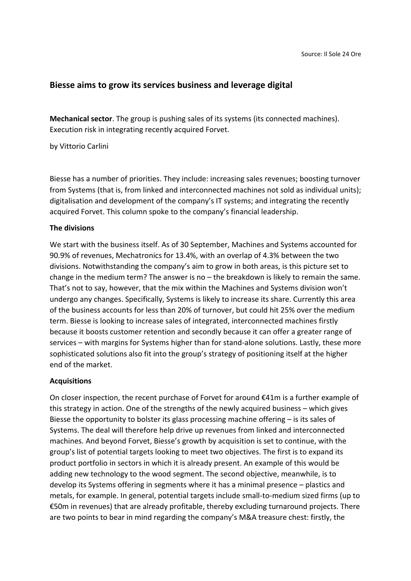## **Biesse aims to grow its services business and leverage digital**

**Mechanical sector**. The group is pushing sales of its systems (its connected machines). Execution risk in integrating recently acquired Forvet.

by Vittorio Carlini

Biesse has a number of priorities. They include: increasing sales revenues; boosting turnover from Systems (that is, from linked and interconnected machines not sold as individual units); digitalisation and development of the company's IT systems; and integrating the recently acquired Forvet. This column spoke to the company's financial leadership.

#### **The divisions**

We start with the business itself. As of 30 September, Machines and Systems accounted for 90.9% of revenues, Mechatronics for 13.4%, with an overlap of 4.3% between the two divisions. Notwithstanding the company's aim to grow in both areas, is this picture set to change in the medium term? The answer is no – the breakdown is likely to remain the same. That's not to say, however, that the mix within the Machines and Systems division won't undergo any changes. Specifically, Systems is likely to increase its share. Currently this area of the business accounts for less than 20% of turnover, but could hit 25% over the medium term. Biesse is looking to increase sales of integrated, interconnected machines firstly because it boosts customer retention and secondly because it can offer a greater range of services – with margins for Systems higher than for stand-alone solutions. Lastly, these more sophisticated solutions also fit into the group's strategy of positioning itself at the higher end of the market.

#### **Acquisitions**

On closer inspection, the recent purchase of Forvet for around €41m is a further example of this strategy in action. One of the strengths of the newly acquired business – which gives Biesse the opportunity to bolster its glass processing machine offering  $-$  is its sales of Systems. The deal will therefore help drive up revenues from linked and interconnected machines. And beyond Forvet, Biesse's growth by acquisition is set to continue, with the group's list of potential targets looking to meet two objectives. The first is to expand its product portfolio in sectors in which it is already present. An example of this would be adding new technology to the wood segment. The second objective, meanwhile, is to develop its Systems offering in segments where it has a minimal presence – plastics and metals, for example. In general, potential targets include small-to-medium sized firms (up to €50m in revenues) that are already profitable, thereby excluding turnaround projects. There are two points to bear in mind regarding the company's M&A treasure chest: firstly, the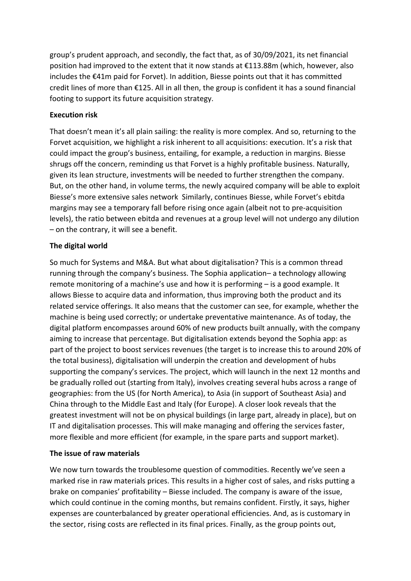group's prudent approach, and secondly, the fact that, as of 30/09/2021, its net financial position had improved to the extent that it now stands at €113.88m (which, however, also includes the €41m paid for Forvet). In addition, Biesse points out that it has committed credit lines of more than €125. All in all then, the group is confident it has a sound financial footing to support its future acquisition strategy.

#### **Execution risk**

That doesn't mean it's all plain sailing: the reality is more complex. And so, returning to the Forvet acquisition, we highlight a risk inherent to all acquisitions: execution. It's a risk that could impact the group's business, entailing, for example, a reduction in margins. Biesse shrugs off the concern, reminding us that Forvet is a highly profitable business. Naturally, given its lean structure, investments will be needed to further strengthen the company. But, on the other hand, in volume terms, the newly acquired company will be able to exploit Biesse's more extensive sales network Similarly, continues Biesse, while Forvet's ebitda margins may see a temporary fall before rising once again (albeit not to pre-acquisition levels), the ratio between ebitda and revenues at a group level will not undergo any dilution – on the contrary, it will see a benefit.

## **The digital world**

So much for Systems and M&A. But what about digitalisation? This is a common thread running through the company's business. The Sophia application– a technology allowing remote monitoring of a machine's use and how it is performing – is a good example. It allows Biesse to acquire data and information, thus improving both the product and its related service offerings. It also means that the customer can see, for example, whether the machine is being used correctly; or undertake preventative maintenance. As of today, the digital platform encompasses around 60% of new products built annually, with the company aiming to increase that percentage. But digitalisation extends beyond the Sophia app: as part of the project to boost services revenues (the target is to increase this to around 20% of the total business), digitalisation will underpin the creation and development of hubs supporting the company's services. The project, which will launch in the next 12 months and be gradually rolled out (starting from Italy), involves creating several hubs across a range of geographies: from the US (for North America), to Asia (in support of Southeast Asia) and China through to the Middle East and Italy (for Europe). A closer look reveals that the greatest investment will not be on physical buildings (in large part, already in place), but on IT and digitalisation processes. This will make managing and offering the services faster, more flexible and more efficient (for example, in the spare parts and support market).

# **The issue of raw materials**

We now turn towards the troublesome question of commodities. Recently we've seen a marked rise in raw materials prices. This results in a higher cost of sales, and risks putting a brake on companies' profitability – Biesse included. The company is aware of the issue, which could continue in the coming months, but remains confident. Firstly, it says, higher expenses are counterbalanced by greater operational efficiencies. And, as is customary in the sector, rising costs are reflected in its final prices. Finally, as the group points out,